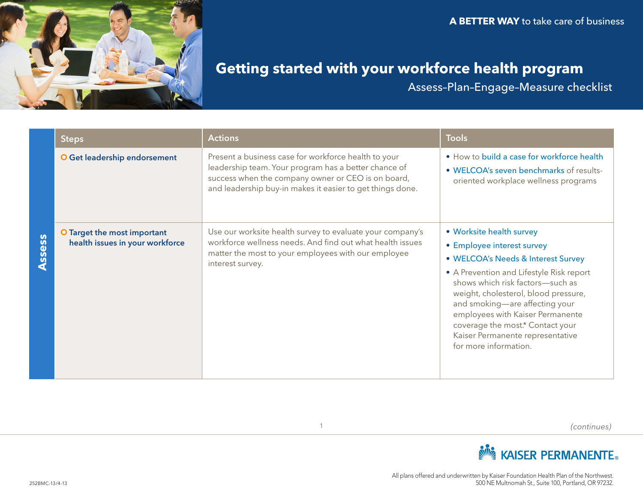

# **Getting started with your workforce health program**

Assess–Plan–Engage–Measure checklist

|                                | Steps                                                          | <b>Actions</b>                                                                                                                                                                                                                  | <b>Tools</b>                                                                                                                                                                                                                                                                                                                                                                                |
|--------------------------------|----------------------------------------------------------------|---------------------------------------------------------------------------------------------------------------------------------------------------------------------------------------------------------------------------------|---------------------------------------------------------------------------------------------------------------------------------------------------------------------------------------------------------------------------------------------------------------------------------------------------------------------------------------------------------------------------------------------|
| $\overline{\mathbf{S}}$<br>SSe | O Get leadership endorsement                                   | Present a business case for workforce health to your<br>leadership team. Your program has a better chance of<br>success when the company owner or CEO is on board,<br>and leadership buy-in makes it easier to get things done. | . How to build a case for workforce health<br>· WELCOA's seven benchmarks of results-<br>oriented workplace wellness programs                                                                                                                                                                                                                                                               |
|                                | O Target the most important<br>health issues in your workforce | Use our worksite health survey to evaluate your company's<br>workforce wellness needs. And find out what health issues<br>matter the most to your employees with our employee<br>interest survey.                               | • Worksite health survey<br>• Employee interest survey<br>· WELCOA's Needs & Interest Survey<br>• A Prevention and Lifestyle Risk report<br>shows which risk factors-such as<br>weight, cholesterol, blood pressure,<br>and smoking-are affecting your<br>employees with Kaiser Permanente<br>coverage the most.* Contact your<br>Kaiser Permanente representative<br>for more information. |

*(continues)*



1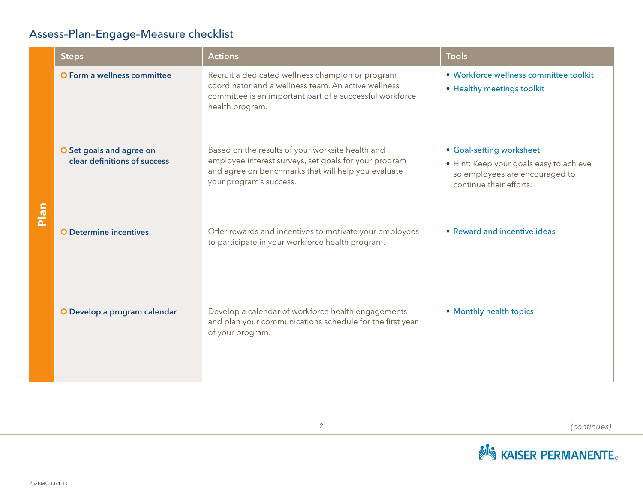### Assess–Plan–Engage–Measure checklist

|              | <b>Steps</b>                                             | <b>Actions</b>                                                                                                                                                                              | <b>Tools</b>                                                                                                                     |
|--------------|----------------------------------------------------------|---------------------------------------------------------------------------------------------------------------------------------------------------------------------------------------------|----------------------------------------------------------------------------------------------------------------------------------|
| <u>ure r</u> | <b>O</b> Form a wellness committee                       | Recruit a dedicated wellness champion or program<br>coordinator and a wellness team. An active wellness<br>committee is an important part of a successful workforce<br>health program.      | · Workforce wellness committee toolkit<br>• Healthy meetings toolkit                                                             |
|              | O Set goals and agree on<br>clear definitions of success | Based on the results of your worksite health and<br>employee interest surveys, set goals for your program<br>and agree on benchmarks that will help you evaluate<br>your program's success. | • Goal-setting worksheet<br>· Hint: Keep your goals easy to achieve<br>so employees are encouraged to<br>continue their efforts. |
|              | <b>O</b> Determine incentives                            | Offer rewards and incentives to motivate your employees<br>to participate in your workforce health program.                                                                                 | • Reward and incentive ideas                                                                                                     |
|              | O Develop a program calendar                             | Develop a calendar of workforce health engagements<br>and plan your communications schedule for the first year<br>of your program.                                                          | • Monthly health topics                                                                                                          |

*(continues)*

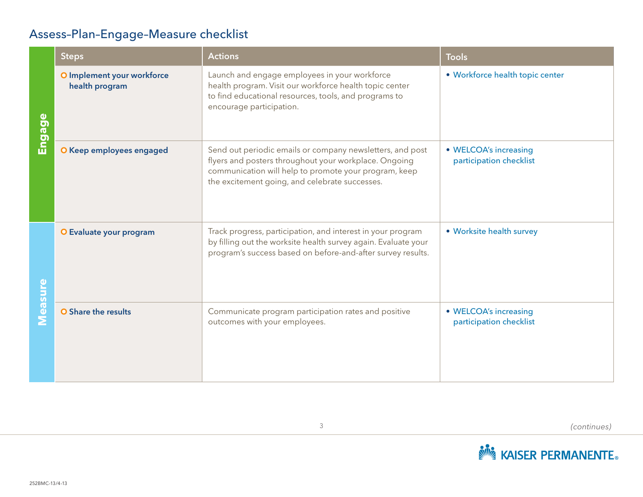## Assess–Plan–Engage–Measure checklist

|                | <b>Steps</b>                                 | <b>Actions</b>                                                                                                                                                                                                                | <b>Tools</b>                                     |
|----------------|----------------------------------------------|-------------------------------------------------------------------------------------------------------------------------------------------------------------------------------------------------------------------------------|--------------------------------------------------|
| Engage         | O Implement your workforce<br>health program | Launch and engage employees in your workforce<br>health program. Visit our workforce health topic center<br>to find educational resources, tools, and programs to<br>encourage participation.                                 | · Workforce health topic center                  |
|                | O Keep employees engaged                     | Send out periodic emails or company newsletters, and post<br>flyers and posters throughout your workplace. Ongoing<br>communication will help to promote your program, keep<br>the excitement going, and celebrate successes. | • WELCOA's increasing<br>participation checklist |
|                | O Evaluate your program                      | Track progress, participation, and interest in your program<br>by filling out the worksite health survey again. Evaluate your<br>program's success based on before-and-after survey results.                                  | • Worksite health survey                         |
| <b>Measure</b> | O Share the results                          | Communicate program participation rates and positive<br>outcomes with your employees.                                                                                                                                         | • WELCOA's increasing<br>participation checklist |